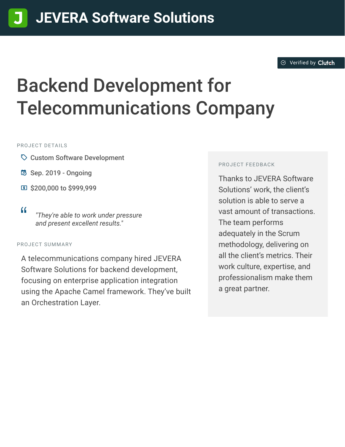#### $\otimes$  [Verified by](https://clutch.co?utm_source=case_studies&utm_medium=verified_by_clutch) Clutch

# Backend Development for Telecommunications Company

PROJECT DETAILS

- $\heartsuit$  Custom Software Development
- B Sep. 2019 Ongoing
- **E** \$200,000 to \$999,999
- <sup>D</sup> *"They're able to work under pressure and present excellent results."*

#### PROJECT SUMMARY

A telecommunications company hired JEVERA Software Solutions for backend development, focusing on enterprise application integration using the Apache Camel framework. They've built an Orchestration Layer.

#### PROJECT FEEDBACK

Thanks to JEVERA Software Solutions' work, the client's solution is able to serve a vast amount of transactions. The team performs adequately in the Scrum methodology, delivering on all the client's metrics. Their work culture, expertise, and professionalism make them a great partner.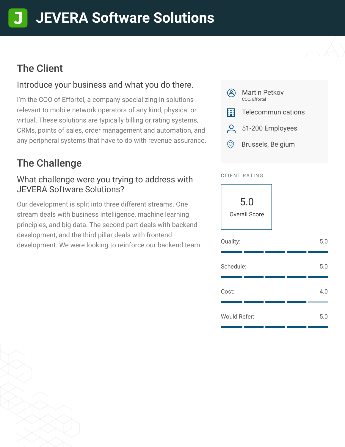# **[J](https://clutch.co/profile/jevera-software-solutions?utm_source=case_studies&utm_medium=logo)EVERA Software Solutions**

## The Client

#### Introduce your business and what you do there.

I'm the COO of Effortel, a company specializing in solutions relevant to mobile network operators of any kind, physical or virtual. These solutions are typically billing or rating systems, CRMs, points of sales, order management and automation, and any peripheral systems that have to do with revenue assurance.

# The Challenge

#### What challenge were you trying to address with JEVERA Software Solutions?

Our development is split into three different streams. One stream deals with business intelligence, machine learning principles, and big data. The second part deals with backend development, and the third pillar deals with frontend development. We were looking to reinforce our backend team.



#### CLIENT RATING

5.0 Overall Score

| Quality:     |  | 5.0 |
|--------------|--|-----|
| Schedule:    |  | 5.0 |
| Cost:        |  | 4.0 |
| Would Refer: |  | 5.0 |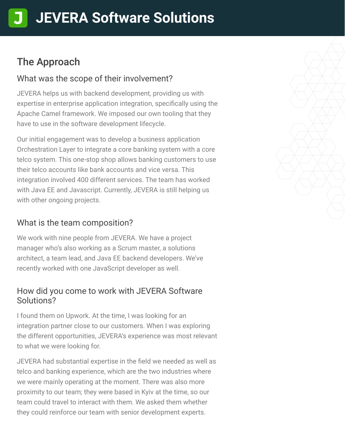## The Approach

#### What was the scope of their involvement?

JEVERA helps us with backend development, providing us with expertise in enterprise application integration, specifically using the Apache Camel framework. We imposed our own tooling that they have to use in the software development lifecycle.

Our initial engagement was to develop a business application Orchestration Layer to integrate a core banking system with a core telco system. This one-stop shop allows banking customers to use their telco accounts like bank accounts and vice versa. This integration involved 400 different services. The team has worked with Java EE and Javascript. Currently, JEVERA is still helping us with other ongoing projects.

#### What is the team composition?

We work with nine people from JEVERA. We have a project manager who's also working as a Scrum master, a solutions architect, a team lead, and Java EE backend developers. We've recently worked with one JavaScript developer as well.

#### How did you come to work with JEVERA Software Solutions?

I found them on Upwork. At the time, I was looking for an integration partner close to our customers. When I was exploring the different opportunities, JEVERA's experience was most relevant to what we were looking for.

JEVERA had substantial expertise in the field we needed as well as telco and banking experience, which are the two industries where we were mainly operating at the moment. There was also more proximity to our team; they were based in Kyiv at the time, so our team could travel to interact with them. We asked them whether they could reinforce our team with senior development experts.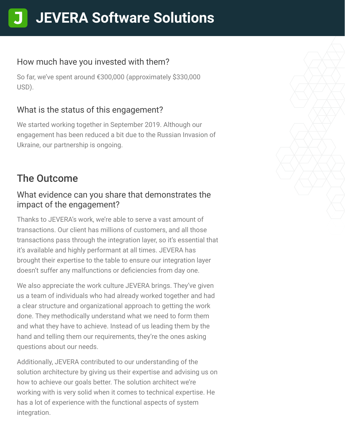# **[J](https://clutch.co/profile/jevera-software-solutions?utm_source=case_studies&utm_medium=logo)EVERA Software Solutions**

#### How much have you invested with them?

So far, we've spent around €300,000 (approximately \$330,000 USD).

### What is the status of this engagement?

We started working together in September 2019. Although our engagement has been reduced a bit due to the Russian Invasion of Ukraine, our partnership is ongoing.

## The Outcome

#### What evidence can you share that demonstrates the impact of the engagement?

Thanks to JEVERA's work, we're able to serve a vast amount of transactions. Our client has millions of customers, and all those transactions pass through the integration layer, so it's essential that it's available and highly performant at all times. JEVERA has brought their expertise to the table to ensure our integration layer doesn't suffer any malfunctions or deficiencies from day one.

We also appreciate the work culture JEVERA brings. They've given us a team of individuals who had already worked together and had a clear structure and organizational approach to getting the work done. They methodically understand what we need to form them and what they have to achieve. Instead of us leading them by the hand and telling them our requirements, they're the ones asking questions about our needs.

Additionally, JEVERA contributed to our understanding of the solution architecture by giving us their expertise and advising us on how to achieve our goals better. The solution architect we're working with is very solid when it comes to technical expertise. He has a lot of experience with the functional aspects of system integration.